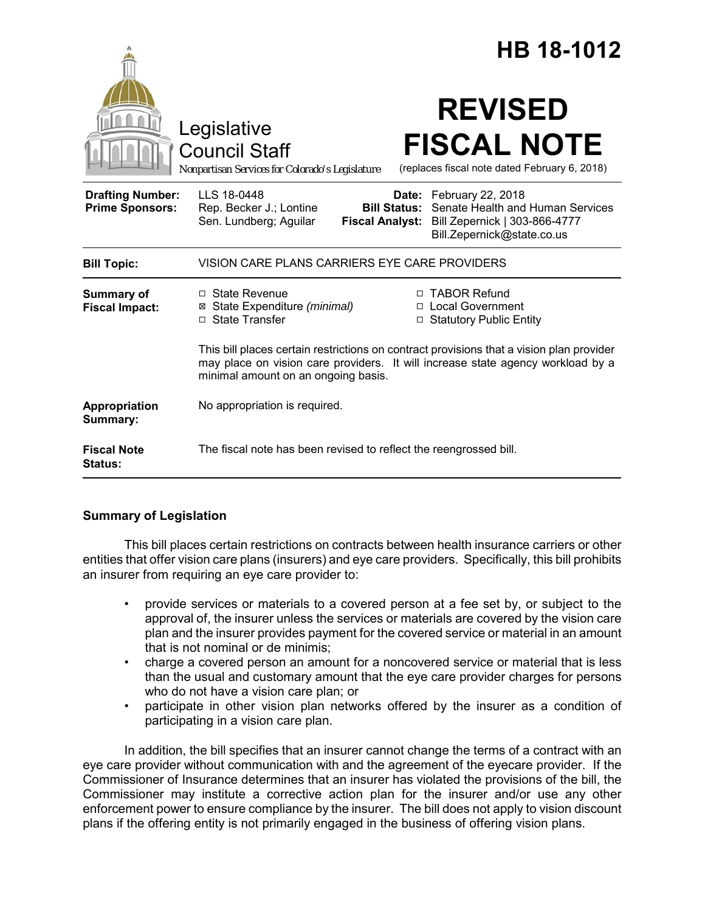|                                                   | HB 18-1012                                                                                                                                                                                                                         |
|---------------------------------------------------|------------------------------------------------------------------------------------------------------------------------------------------------------------------------------------------------------------------------------------|
|                                                   | <b>REVISED</b><br>Legislative<br><b>FISCAL NOTE</b><br><b>Council Staff</b><br>(replaces fiscal note dated February 6, 2018)<br>Nonpartisan Services for Colorado's Legislature                                                    |
| <b>Drafting Number:</b><br><b>Prime Sponsors:</b> | LLS 18-0448<br>Date: February 22, 2018<br><b>Bill Status:</b> Senate Health and Human Services<br>Rep. Becker J.; Lontine<br>Sen. Lundberg; Aguilar<br>Fiscal Analyst: Bill Zepernick   303-866-4777<br>Bill.Zepernick@state.co.us |
| <b>Bill Topic:</b>                                | VISION CARE PLANS CARRIERS EYE CARE PROVIDERS                                                                                                                                                                                      |
| <b>Summary of</b><br><b>Fiscal Impact:</b>        | □ TABOR Refund<br>$\Box$ State Revenue<br>⊠ State Expenditure (minimal)<br>□ Local Government<br>□ State Transfer<br><b>Statutory Public Entity</b><br>$\Box$                                                                      |
|                                                   | This bill places certain restrictions on contract provisions that a vision plan provider<br>may place on vision care providers. It will increase state agency workload by a<br>minimal amount on an ongoing basis.                 |
| Appropriation<br>Summary:                         | No appropriation is required.                                                                                                                                                                                                      |
| <b>Fiscal Note</b><br><b>Status:</b>              | The fiscal note has been revised to reflect the reengrossed bill.                                                                                                                                                                  |

## **Summary of Legislation**

This bill places certain restrictions on contracts between health insurance carriers or other entities that offer vision care plans (insurers) and eye care providers. Specifically, this bill prohibits an insurer from requiring an eye care provider to:

- provide services or materials to a covered person at a fee set by, or subject to the approval of, the insurer unless the services or materials are covered by the vision care plan and the insurer provides payment for the covered service or material in an amount that is not nominal or de minimis;
- charge a covered person an amount for a noncovered service or material that is less than the usual and customary amount that the eye care provider charges for persons who do not have a vision care plan; or
- participate in other vision plan networks offered by the insurer as a condition of participating in a vision care plan.

In addition, the bill specifies that an insurer cannot change the terms of a contract with an eye care provider without communication with and the agreement of the eyecare provider. If the Commissioner of Insurance determines that an insurer has violated the provisions of the bill, the Commissioner may institute a corrective action plan for the insurer and/or use any other enforcement power to ensure compliance by the insurer. The bill does not apply to vision discount plans if the offering entity is not primarily engaged in the business of offering vision plans.